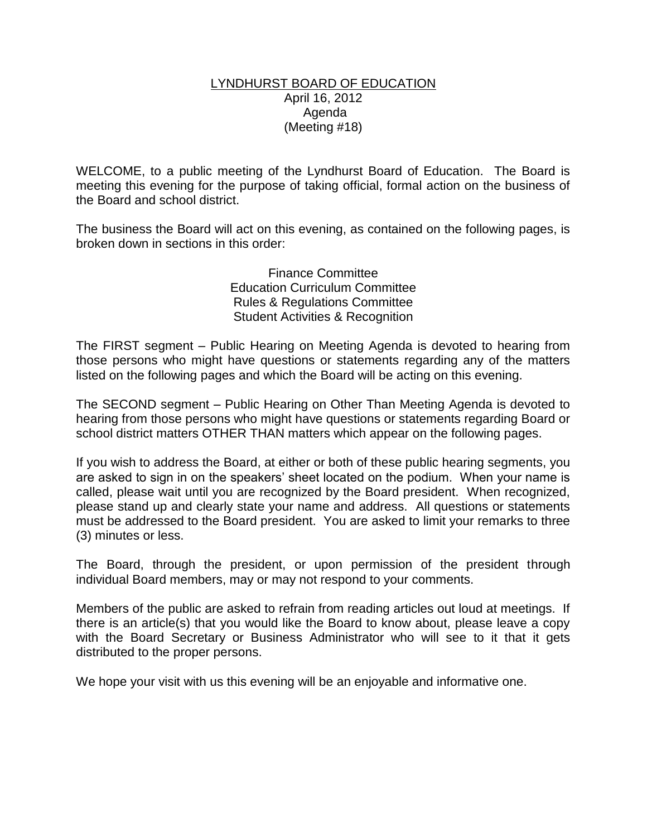## LYNDHURST BOARD OF EDUCATION April 16, 2012 Agenda (Meeting #18)

WELCOME, to a public meeting of the Lyndhurst Board of Education. The Board is meeting this evening for the purpose of taking official, formal action on the business of the Board and school district.

The business the Board will act on this evening, as contained on the following pages, is broken down in sections in this order:

> Finance Committee Education Curriculum Committee Rules & Regulations Committee Student Activities & Recognition

The FIRST segment – Public Hearing on Meeting Agenda is devoted to hearing from those persons who might have questions or statements regarding any of the matters listed on the following pages and which the Board will be acting on this evening.

The SECOND segment – Public Hearing on Other Than Meeting Agenda is devoted to hearing from those persons who might have questions or statements regarding Board or school district matters OTHER THAN matters which appear on the following pages.

If you wish to address the Board, at either or both of these public hearing segments, you are asked to sign in on the speakers' sheet located on the podium. When your name is called, please wait until you are recognized by the Board president. When recognized, please stand up and clearly state your name and address. All questions or statements must be addressed to the Board president. You are asked to limit your remarks to three (3) minutes or less.

The Board, through the president, or upon permission of the president through individual Board members, may or may not respond to your comments.

Members of the public are asked to refrain from reading articles out loud at meetings. If there is an article(s) that you would like the Board to know about, please leave a copy with the Board Secretary or Business Administrator who will see to it that it gets distributed to the proper persons.

We hope your visit with us this evening will be an enjoyable and informative one.